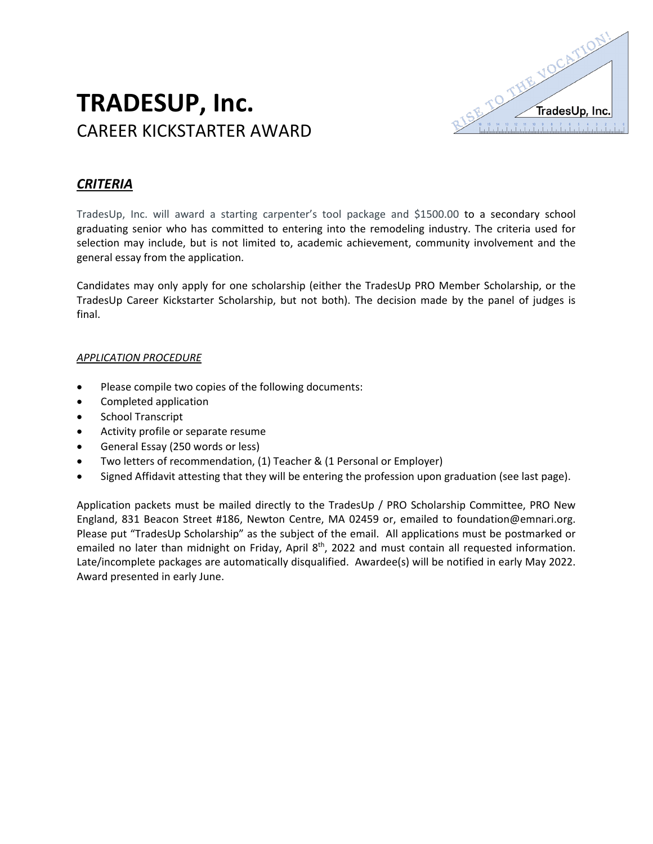

# **TRADESUP, Inc.** CAREER KICKSTARTER AWARD

## *CRITERIA*

TradesUp, Inc. will award a starting carpenter's tool package and \$1500.00 to a secondary school graduating senior who has committed to entering into the remodeling industry. The criteria used for selection may include, but is not limited to, academic achievement, community involvement and the general essay from the application.

Candidates may only apply for one scholarship (either the TradesUp PRO Member Scholarship, or the TradesUp Career Kickstarter Scholarship, but not both). The decision made by the panel of judges is final.

#### *APPLICATION PROCEDURE*

- Please compile two copies of the following documents:
- Completed application
- School Transcript
- Activity profile or separate resume
- General Essay (250 words or less)
- Two letters of recommendation, (1) Teacher & (1 Personal or Employer)
- Signed Affidavit attesting that they will be entering the profession upon graduation (see last page).

Application packets must be mailed directly to the TradesUp / PRO Scholarship Committee, PRO New England, 831 Beacon Street #186, Newton Centre, MA 02459 or, emailed to foundation@emnari.org. Please put "TradesUp Scholarship" as the subject of the email. All applications must be postmarked or emailed no later than midnight on Friday, April 8<sup>th</sup>, 2022 and must contain all requested information. Late/incomplete packages are automatically disqualified. Awardee(s) will be notified in early May 2022. Award presented in early June.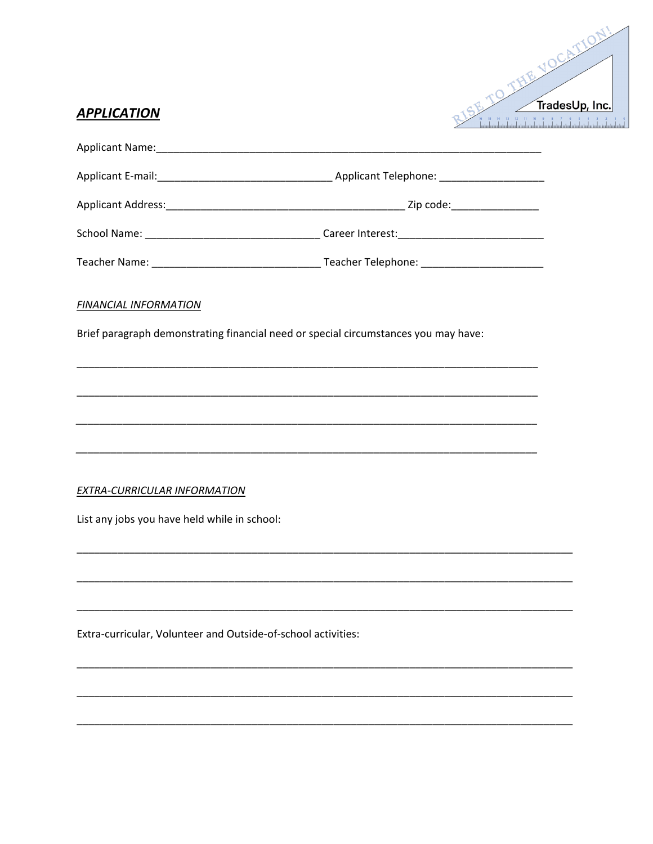

# **APPLICATION**

| <b>FINANCIAL INFORMATION</b>                                  |                                                                                     |
|---------------------------------------------------------------|-------------------------------------------------------------------------------------|
|                                                               | Brief paragraph demonstrating financial need or special circumstances you may have: |
|                                                               |                                                                                     |
|                                                               |                                                                                     |
|                                                               |                                                                                     |
|                                                               |                                                                                     |
| <b>EXTRA-CURRICULAR INFORMATION</b>                           |                                                                                     |
| List any jobs you have held while in school:                  |                                                                                     |
|                                                               |                                                                                     |
|                                                               |                                                                                     |
| Extra-curricular, Volunteer and Outside-of-school activities: |                                                                                     |
|                                                               |                                                                                     |
|                                                               |                                                                                     |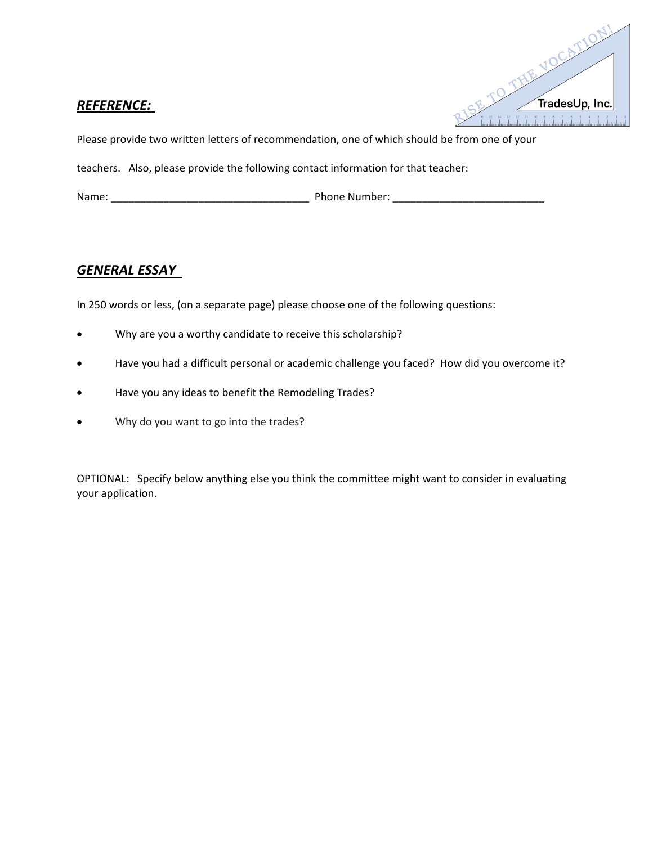## *REFERENCE:*



Please provide two written letters of recommendation, one of which should be from one of your

teachers. Also, please provide the following contact information for that teacher:

Name: \_\_\_\_\_\_\_\_\_\_\_\_\_\_\_\_\_\_\_\_\_\_\_\_\_\_\_\_\_\_\_\_\_\_ Phone Number: \_\_\_\_\_\_\_\_\_\_\_\_\_\_\_\_\_\_\_\_\_\_\_\_\_\_

## *GENERAL ESSAY*

In 250 words or less, (on a separate page) please choose one of the following questions:

- Why are you a worthy candidate to receive this scholarship?
- Have you had a difficult personal or academic challenge you faced? How did you overcome it?
- Have you any ideas to benefit the Remodeling Trades?
- Why do you want to go into the trades?

OPTIONAL: Specify below anything else you think the committee might want to consider in evaluating your application.